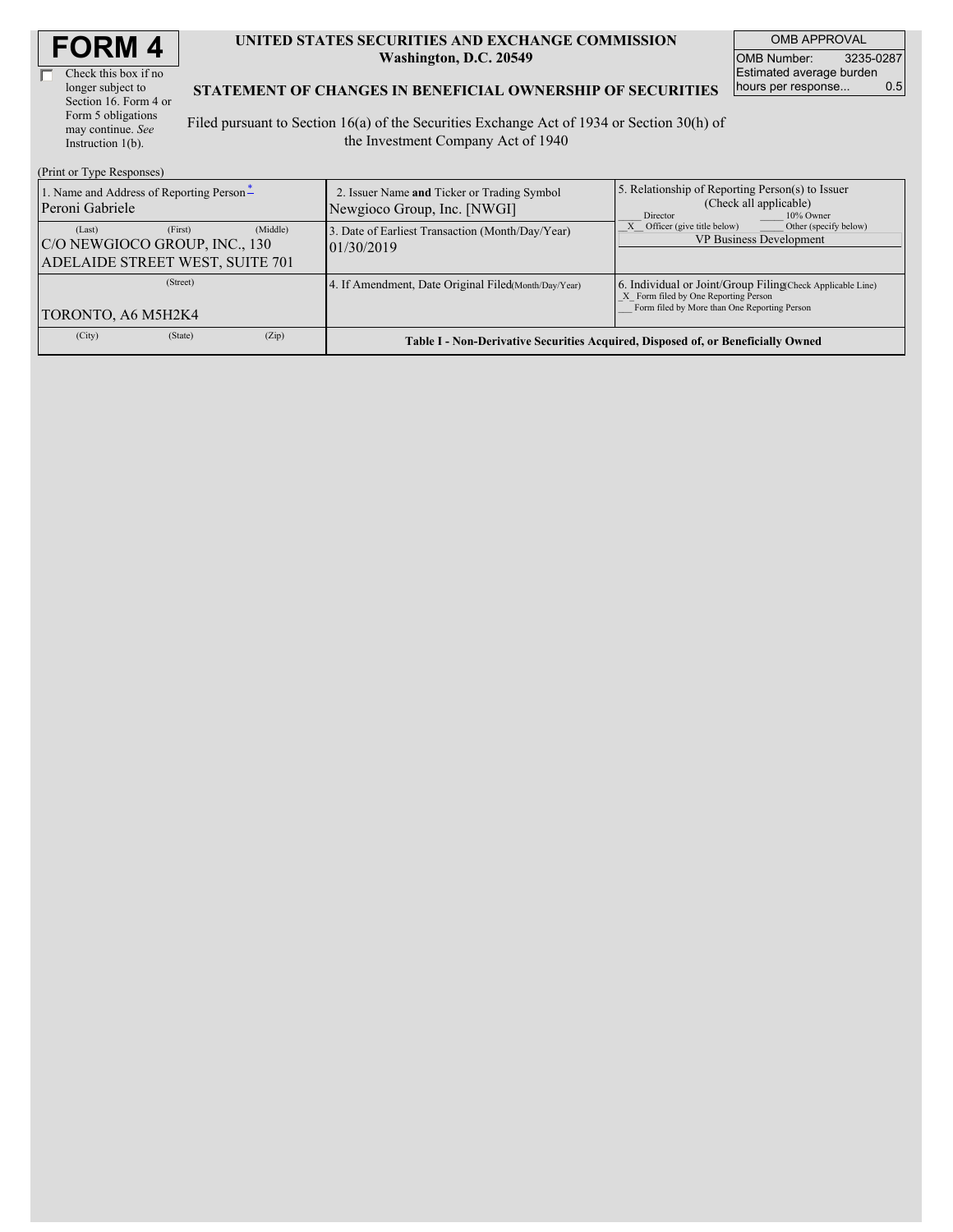| <b>FORM4</b> |
|--------------|
|--------------|

г

Check this box if no longer subject to Section 16. Form 4 or Form 5 obligations may continue. *See* Instruction 1(b).

(Print or Type Responses)

#### **UNITED STATES SECURITIES AND EXCHANGE COMMISSION Washington, D.C. 20549**

OMB APPROVAL OMB Number: 3235-0287 Estimated average burden<br>hours per response... 0.5 hours per response...

#### **STATEMENT OF CHANGES IN BENEFICIAL OWNERSHIP OF SECURITIES**

Filed pursuant to Section 16(a) of the Securities Exchange Act of 1934 or Section 30(h) of the Investment Company Act of 1940

| $(1 \text{ line of } 1 \text{ ypc } \text{responents})$<br>1. Name and Address of Reporting Person-<br>Peroni Gabriele | 2. Issuer Name and Ticker or Trading Symbol<br>Newgioco Group, Inc. [NWGI] | 5. Relationship of Reporting Person(s) to Issuer<br>(Check all applicable)<br>10% Owner<br>Director                                                |
|------------------------------------------------------------------------------------------------------------------------|----------------------------------------------------------------------------|----------------------------------------------------------------------------------------------------------------------------------------------------|
| (Middle)<br>(First)<br>(Last)<br>C/O NEWGIOCO GROUP, INC., 130<br>ADELAIDE STREET WEST, SUITE 701                      | 3. Date of Earliest Transaction (Month/Day/Year)<br>01/30/2019             | Other (specify below)<br>Officer (give title below)<br><b>VP Business Development</b>                                                              |
| (Street)<br>TORONTO, A6 M5H2K4                                                                                         | 4. If Amendment, Date Original Filed (Month/Day/Year)                      | 6. Individual or Joint/Group Filing(Check Applicable Line)<br>X Form filed by One Reporting Person<br>Form filed by More than One Reporting Person |
| (City)<br>(State)<br>(Zip)                                                                                             |                                                                            | Table I - Non-Derivative Securities Acquired, Disposed of, or Beneficially Owned                                                                   |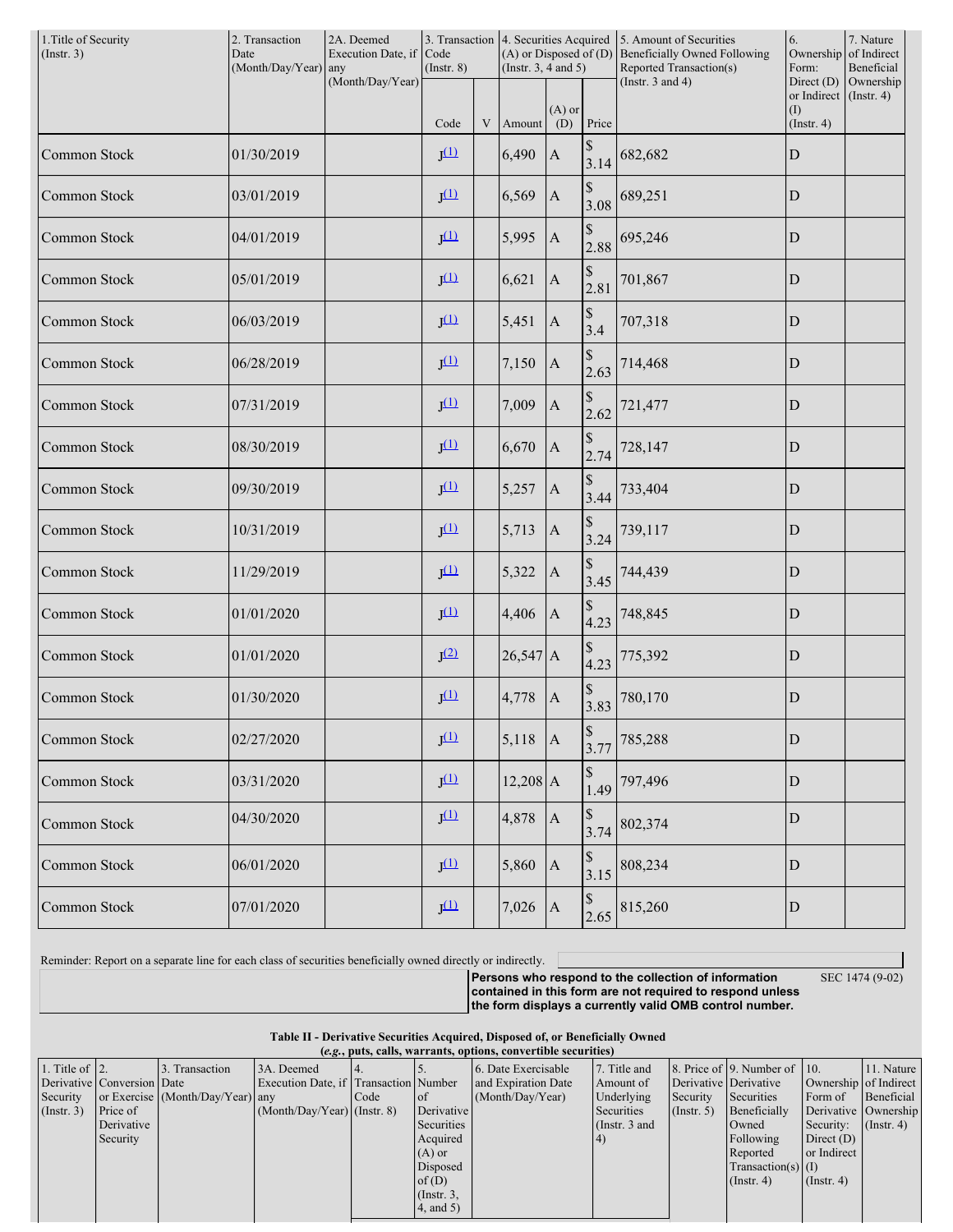| 1. Title of Security<br>(Insert. 3) | 2. Transaction<br>2A. Deemed<br>3. Transaction   4. Securities Acquired   5. Amount of Securities<br>Date<br>Execution Date, if<br>Code<br>(Month/Day/Year) any<br>$($ Instr. $8)$<br>(Instr. $3, 4$ and $5$ ) |                  |                  |   | (A) or Disposed of (D) Beneficially Owned Following<br>Reported Transaction(s) | 6.<br>Ownership<br>Form: | 7. Nature<br>of Indirect<br>Beneficial                                        |                                                                                                                                                                                                                                                                                                                                                                                                      |                                                        |                               |
|-------------------------------------|----------------------------------------------------------------------------------------------------------------------------------------------------------------------------------------------------------------|------------------|------------------|---|--------------------------------------------------------------------------------|--------------------------|-------------------------------------------------------------------------------|------------------------------------------------------------------------------------------------------------------------------------------------------------------------------------------------------------------------------------------------------------------------------------------------------------------------------------------------------------------------------------------------------|--------------------------------------------------------|-------------------------------|
|                                     |                                                                                                                                                                                                                | (Month/Day/Year) | Code             | V | Amount                                                                         | $(A)$ or<br>(D)          | Price                                                                         | (Instr. $3$ and $4$ )                                                                                                                                                                                                                                                                                                                                                                                | Direct $(D)$<br>or Indirect<br>(1)<br>$($ Instr. 4 $)$ | Ownership<br>$($ Instr. 4 $)$ |
| Common Stock                        | 01/30/2019                                                                                                                                                                                                     |                  | J <sup>(1)</sup> |   | 6,490                                                                          | $\mathbf{A}$             | \$<br>3.14                                                                    | 682,682                                                                                                                                                                                                                                                                                                                                                                                              | ${\bf D}$                                              |                               |
| Common Stock                        | 03/01/2019                                                                                                                                                                                                     |                  | J <sup>(1)</sup> |   | 6,569                                                                          | $\Lambda$                | $\mathbb S$<br>3.08                                                           | 689,251                                                                                                                                                                                                                                                                                                                                                                                              | ${\rm D}$                                              |                               |
| Common Stock                        | 04/01/2019                                                                                                                                                                                                     |                  | $J^{(1)}$        |   | 5,995                                                                          | $\mathbf{A}$             | $\mathbb{S}% _{t}\left( t\right) \equiv\mathbb{S}_{t}\left( t\right)$         | 2.88 695,246                                                                                                                                                                                                                                                                                                                                                                                         | ${\rm D}$                                              |                               |
| Common Stock                        | 05/01/2019                                                                                                                                                                                                     |                  | J <sup>(1)</sup> |   | 6,621                                                                          | $\mathbf{A}$             | $\mathbb{S}% _{t}\left( t\right) \equiv\mathbb{S}_{t}\left( t\right)$<br>2.81 | 701,867                                                                                                                                                                                                                                                                                                                                                                                              | ${\rm D}$                                              |                               |
| Common Stock                        | 06/03/2019                                                                                                                                                                                                     |                  | $J^{(1)}$        |   | 5,451                                                                          | $\mathbf{A}$             | $\mathbb S$<br>3.4                                                            | 707,318                                                                                                                                                                                                                                                                                                                                                                                              | ${\rm D}$                                              |                               |
| Common Stock                        | 06/28/2019                                                                                                                                                                                                     |                  | $J^{(1)}$        |   | 7,150                                                                          | $\vert A \vert$          | $\mathbb{S}% _{t}\left( t\right) \equiv\mathbb{S}_{t}\left( t\right)$<br>2.63 | 714,468                                                                                                                                                                                                                                                                                                                                                                                              | ${\rm D}$                                              |                               |
| Common Stock                        | 07/31/2019                                                                                                                                                                                                     |                  | $J^{(1)}$        |   | 7,009                                                                          | $\mathbf{A}$             | \$<br>2.62                                                                    | 721,477                                                                                                                                                                                                                                                                                                                                                                                              | ${\rm D}$                                              |                               |
| Common Stock                        | 08/30/2019                                                                                                                                                                                                     |                  | $J^{(1)}$        |   | 6,670                                                                          | $\Lambda$                | \$<br>2.74                                                                    | 728,147                                                                                                                                                                                                                                                                                                                                                                                              | ${\bf D}$                                              |                               |
| Common Stock                        | 09/30/2019                                                                                                                                                                                                     |                  | $J^{(1)}$        |   | 5,257                                                                          | $\mathbf{A}$             | \$<br>3.44                                                                    | 733,404                                                                                                                                                                                                                                                                                                                                                                                              | ${\rm D}$                                              |                               |
| Common Stock                        | 10/31/2019                                                                                                                                                                                                     |                  | J <sup>(1)</sup> |   | 5,713                                                                          | $\mathbf{A}$             | \$<br>3.24                                                                    | 739,117                                                                                                                                                                                                                                                                                                                                                                                              | ${\rm D}$                                              |                               |
| Common Stock                        | 11/29/2019                                                                                                                                                                                                     |                  | $J^{(1)}$        |   | 5,322                                                                          | $\mathbf{A}$             | $\mathbb S$<br>3.45                                                           | 744,439                                                                                                                                                                                                                                                                                                                                                                                              | ${\rm D}$                                              |                               |
| Common Stock                        | 01/01/2020                                                                                                                                                                                                     |                  | J <sup>(1)</sup> |   | 4,406                                                                          | $\mathbf{A}$             | $\mathbb{S}% _{t}\left( t\right) \equiv\mathbb{S}_{t}\left( t\right)$<br>4.23 | 748,845                                                                                                                                                                                                                                                                                                                                                                                              | $\mathbf D$                                            |                               |
| Common Stock                        | 01/01/2020                                                                                                                                                                                                     |                  | J <sup>(2)</sup> |   | $26,547$ A                                                                     |                          | $\$$<br>4.23                                                                  | 775,392                                                                                                                                                                                                                                                                                                                                                                                              | ${\bf D}$                                              |                               |
| Common Stock                        | 01/30/2020                                                                                                                                                                                                     |                  | $J^{(1)}$        |   | 4,778                                                                          | A                        | \$<br>3.83                                                                    | 780,170                                                                                                                                                                                                                                                                                                                                                                                              | $\mathbf D$                                            |                               |
| Common Stock                        | 02/27/2020                                                                                                                                                                                                     |                  | $J^{(1)}$        |   | $5,118$  A                                                                     |                          | $\begin{array}{c} \n\text{\$} \\ \n3.77 \n\end{array}$                        | 785,288                                                                                                                                                                                                                                                                                                                                                                                              | ${\bf D}$                                              |                               |
| Common Stock                        | 03/31/2020                                                                                                                                                                                                     |                  | $J^{(1)}$        |   | $12,208$ A                                                                     |                          | $\mathbb S$<br>1.49                                                           | 797,496                                                                                                                                                                                                                                                                                                                                                                                              | ${\bf D}$                                              |                               |
| Common Stock                        | 04/30/2020                                                                                                                                                                                                     |                  | $J^{(1)}$        |   | 4,878                                                                          | $\vert$ A                | $\mathbb S$                                                                   | 3.74 802,374                                                                                                                                                                                                                                                                                                                                                                                         | $\mathbf D$                                            |                               |
| Common Stock                        | 06/01/2020                                                                                                                                                                                                     |                  | $J^{(1)}$        |   | 5,860                                                                          | A                        | $\mathbb S$                                                                   | $3.15$ 808,234                                                                                                                                                                                                                                                                                                                                                                                       | ${\bf D}$                                              |                               |
| Common Stock                        | 07/01/2020                                                                                                                                                                                                     |                  | $J^{(1)}$        |   | 7,026                                                                          | $\vert A \vert$          |                                                                               | $\begin{array}{c c} \n\text{\$} & \n\text{\$} & \n\text{\$} & \n\text{\$} & \n\text{\$} & \n\text{\$} & \n\text{\$} & \n\text{\$} & \n\text{\$} & \n\text{\$} & \n\text{\$} & \n\text{\$} & \n\text{\$} & \n\text{\$} & \n\text{\$} & \n\text{\$} & \n\text{\$} & \n\text{\$} & \n\text{\$} & \n\text{\$} & \n\text{\$} & \n\text{\$} & \n\text{\$} & \n\text{\$} & \n\text{\$} & \n\text{\$} & \n\$ | ${\rm D}$                                              |                               |

Reminder: Report on a separate line for each class of securities beneficially owned directly or indirectly.

SEC 1474 (9-02)

**Persons who respond to the collection of information contained in this form are not required to respond unless the form displays a currently valid OMB control number.**

**Table II - Derivative Securities Acquired, Disposed of, or Beneficially Owned**

| (e.g., puts, calls, warrants, options, convertible securities) |                            |                                  |                                       |      |                 |                     |                 |                       |                              |                       |               |
|----------------------------------------------------------------|----------------------------|----------------------------------|---------------------------------------|------|-----------------|---------------------|-----------------|-----------------------|------------------------------|-----------------------|---------------|
| 1. Title of $\vert$ 2.                                         |                            | 3. Transaction                   | 3A. Deemed                            |      |                 | 6. Date Exercisable | 7. Title and    |                       | 8. Price of 9. Number of 10. |                       | 11. Nature    |
|                                                                | Derivative Conversion Date |                                  | Execution Date, if Transaction Number |      |                 | and Expiration Date | Amount of       | Derivative Derivative |                              | Ownership of Indirect |               |
| Security                                                       |                            | or Exercise (Month/Day/Year) any |                                       | Code | of of           | (Month/Day/Year)    | Underlying      | Security              | Securities                   | Form of               | Beneficial    |
| (Insert. 3)                                                    | Price of                   |                                  | $(Month/Day/Year)$ (Instr. 8)         |      | Derivative      |                     | Securities      | $($ Instr. 5)         | Beneficially                 | Derivative Ownership  |               |
|                                                                | Derivative                 |                                  |                                       |      | Securities      |                     | (Instr. $3$ and |                       | Owned                        | Security:             | $($ Instr. 4) |
|                                                                | Security                   |                                  |                                       |      | Acquired        |                     | (4)             |                       | Following                    | Direct $(D)$          |               |
|                                                                |                            |                                  |                                       |      | $(A)$ or        |                     |                 |                       | Reported                     | or Indirect           |               |
|                                                                |                            |                                  |                                       |      | Disposed        |                     |                 |                       | $Transaction(s)$ (I)         |                       |               |
|                                                                |                            |                                  |                                       |      | of $(D)$        |                     |                 |                       | $($ Instr. 4)                | $($ Instr. 4 $)$      |               |
|                                                                |                            |                                  |                                       |      | $($ Instr. $3,$ |                     |                 |                       |                              |                       |               |
|                                                                |                            |                                  |                                       |      | $4$ , and $5)$  |                     |                 |                       |                              |                       |               |
|                                                                |                            |                                  |                                       |      |                 |                     |                 |                       |                              |                       |               |